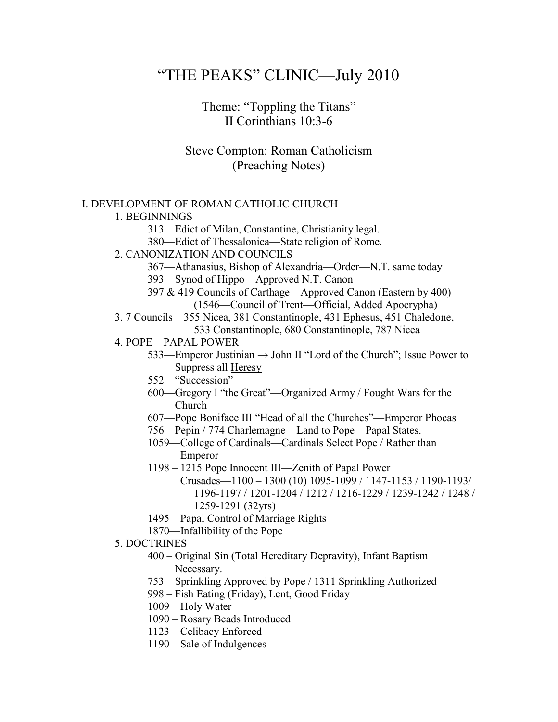# "THE PEAKS" CLINIC—July 2010

# Theme: "Toppling the Titans" II Corinthians 10:3-6

Steve Compton: Roman Catholicism (Preaching Notes)

| I. DEVELOPMENT OF ROMAN CATHOLIC CHURCH                                          |
|----------------------------------------------------------------------------------|
| 1. BEGINNINGS                                                                    |
| 313—Edict of Milan, Constantine, Christianity legal.                             |
| 380—Edict of Thessalonica—State religion of Rome.                                |
| 2. CANONIZATION AND COUNCILS                                                     |
| 367—Athanasius, Bishop of Alexandria—Order—N.T. same today                       |
| 393—Synod of Hippo—Approved N.T. Canon                                           |
| 397 & 419 Councils of Carthage—Approved Canon (Eastern by 400)                   |
| (1546—Council of Trent—Official, Added Apocrypha)                                |
| 3. 7 Councils-355 Nicea, 381 Constantinople, 431 Ephesus, 451 Chaledone,         |
| 533 Constantinople, 680 Constantinople, 787 Nicea                                |
| <b>4. POPE-PAPAL POWER</b>                                                       |
| 533—Emperor Justinian $\rightarrow$ John II "Lord of the Church"; Issue Power to |
| Suppress all Heresy                                                              |
| 552-"Succession"                                                                 |
| 600—Gregory I "the Great"—Organized Army / Fought Wars for the                   |
| Church                                                                           |
| 607-Pope Boniface III "Head of all the Churches"-Emperor Phocas                  |
| 756—Pepin / 774 Charlemagne—Land to Pope—Papal States.                           |
| 1059—College of Cardinals—Cardinals Select Pope / Rather than                    |
| Emperor                                                                          |
| 1198 - 1215 Pope Innocent III—Zenith of Papal Power                              |
| Crusades— $1100 - 1300(10)1095 - 1099/1147 - 1153/1190 - 1193/$                  |
| 1196-1197 / 1201-1204 / 1212 / 1216-1229 / 1239-1242 / 1248 /                    |
| 1259-1291 (32yrs)                                                                |
| 1495—Papal Control of Marriage Rights                                            |
| 1870—Infallibility of the Pope                                                   |
| 5. DOCTRINES                                                                     |
| 400 - Original Sin (Total Hereditary Depravity), Infant Baptism                  |
| Necessary.                                                                       |
| 753 – Sprinkling Approved by Pope / 1311 Sprinkling Authorized                   |
| 998 - Fish Eating (Friday), Lent, Good Friday                                    |
| 1009 - Holy Water                                                                |
| 1090 - Rosary Beads Introduced                                                   |
| 1123 - Celibacy Enforced                                                         |
| $1190$ – Sale of Indulgences                                                     |
|                                                                                  |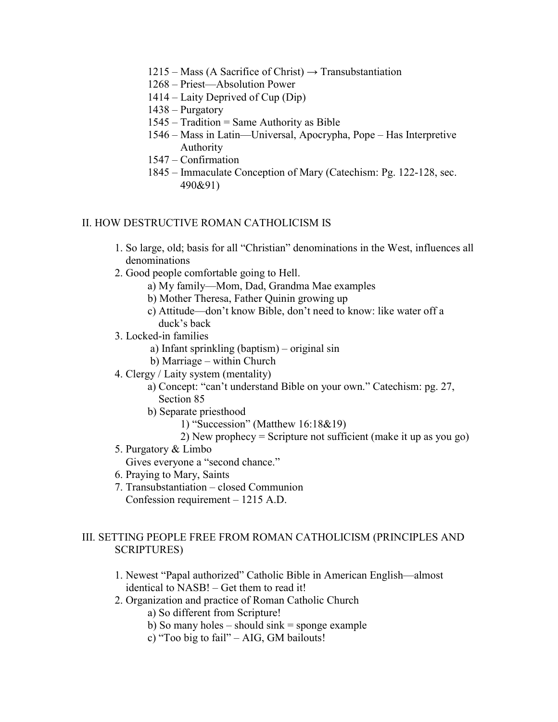- $1215$  Mass (A Sacrifice of Christ)  $\rightarrow$  Transubstantiation
- 1268 Priest—Absolution Power
- 1414 Laity Deprived of Cup (Dip)
- 1438 Purgatory
- $1545 Tradition = Same Authority as Bible$
- 1546 Mass in Latin—Universal, Apocrypha, Pope Has Interpretive Authority
- 1547 Confirmation
- 1845 Immaculate Conception of Mary (Catechism: Pg. 122-128, sec. 490&91)

### II. HOW DESTRUCTIVE ROMAN CATHOLICISM IS

- 1. So large, old; basis for all "Christian" denominations in the West, influences all denominations
- 2. Good people comfortable going to Hell.
	- a) My family—Mom, Dad, Grandma Mae examples
	- b) Mother Theresa, Father Quinin growing up
	- c) Attitude—don't know Bible, don't need to know: like water off a duck's back
- 3. Locked-in families
	- a) Infant sprinkling (baptism) original sin
	- b) Marriage within Church
- 4. Clergy / Laity system (mentality)
	- a) Concept: "can't understand Bible on your own." Catechism: pg. 27, Section 85
	- b) Separate priesthood
		- 1) "Succession" (Matthew 16:18&19)
		- 2) New prophecy = Scripture not sufficient (make it up as you go)
- 5. Purgatory & Limbo
	- Gives everyone a "second chance."
- 6. Praying to Mary, Saints
- 7. Transubstantiation closed Communion Confession requirement – 1215 A.D.

## III. SETTING PEOPLE FREE FROM ROMAN CATHOLICISM (PRINCIPLES AND SCRIPTURES)

- 1. Newest "Papal authorized" Catholic Bible in American English—almost identical to NASB! – Get them to read it!
- 2. Organization and practice of Roman Catholic Church
	- a) So different from Scripture!
	- b) So many holes should sink  $=$  sponge example
	- c) "Too big to fail" AIG, GM bailouts!